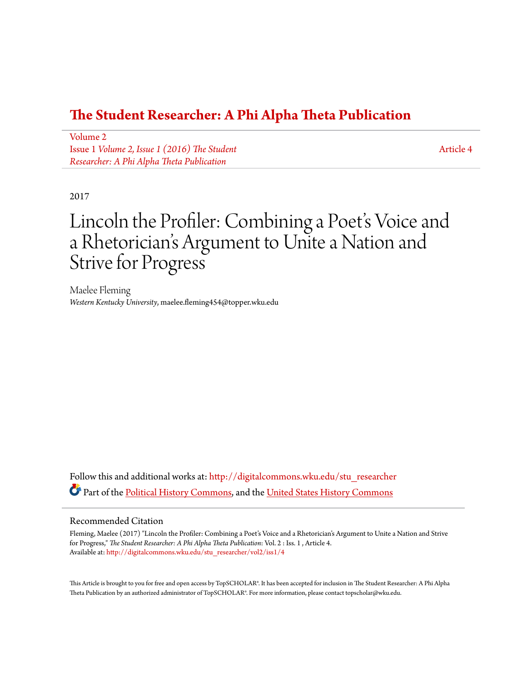### **[The Student Researcher: A Phi Alpha Theta Publication](http://digitalcommons.wku.edu/stu_researcher?utm_source=digitalcommons.wku.edu%2Fstu_researcher%2Fvol2%2Fiss1%2F4&utm_medium=PDF&utm_campaign=PDFCoverPages)**

[Volume 2](http://digitalcommons.wku.edu/stu_researcher/vol2?utm_source=digitalcommons.wku.edu%2Fstu_researcher%2Fvol2%2Fiss1%2F4&utm_medium=PDF&utm_campaign=PDFCoverPages) Issue 1 *[Volume 2, Issue 1 \(2016\) The Student](http://digitalcommons.wku.edu/stu_researcher/vol2/iss1?utm_source=digitalcommons.wku.edu%2Fstu_researcher%2Fvol2%2Fiss1%2F4&utm_medium=PDF&utm_campaign=PDFCoverPages) [Researcher: A Phi Alpha Theta Publication](http://digitalcommons.wku.edu/stu_researcher/vol2/iss1?utm_source=digitalcommons.wku.edu%2Fstu_researcher%2Fvol2%2Fiss1%2F4&utm_medium=PDF&utm_campaign=PDFCoverPages)*

[Article 4](http://digitalcommons.wku.edu/stu_researcher/vol2/iss1/4?utm_source=digitalcommons.wku.edu%2Fstu_researcher%2Fvol2%2Fiss1%2F4&utm_medium=PDF&utm_campaign=PDFCoverPages)

2017

# Lincoln the Profiler: Combining a Poet's Voice and a Rhetorician 's Argument to Unite a Nation and Strive for Progress

Maelee Fleming *Western Kentucky University*, maelee.fleming454@topper.wku.edu

Follow this and additional works at: [http://digitalcommons.wku.edu/stu\\_researcher](http://digitalcommons.wku.edu/stu_researcher?utm_source=digitalcommons.wku.edu%2Fstu_researcher%2Fvol2%2Fiss1%2F4&utm_medium=PDF&utm_campaign=PDFCoverPages) Part of the [Political History Commons](http://network.bepress.com/hgg/discipline/505?utm_source=digitalcommons.wku.edu%2Fstu_researcher%2Fvol2%2Fiss1%2F4&utm_medium=PDF&utm_campaign=PDFCoverPages), and the [United States History Commons](http://network.bepress.com/hgg/discipline/495?utm_source=digitalcommons.wku.edu%2Fstu_researcher%2Fvol2%2Fiss1%2F4&utm_medium=PDF&utm_campaign=PDFCoverPages)

#### Recommended Citation

Fleming, Maelee (2017) "Lincoln the Profiler: Combining a Poet's Voice and a Rhetorician's Argument to Unite a Nation and Strive for Progress," *The Student Researcher: A Phi Alpha Theta Publication*: Vol. 2 : Iss. 1 , Article 4. Available at: [http://digitalcommons.wku.edu/stu\\_researcher/vol2/iss1/4](http://digitalcommons.wku.edu/stu_researcher/vol2/iss1/4?utm_source=digitalcommons.wku.edu%2Fstu_researcher%2Fvol2%2Fiss1%2F4&utm_medium=PDF&utm_campaign=PDFCoverPages)

This Article is brought to you for free and open access by TopSCHOLAR®. It has been accepted for inclusion in The Student Researcher: A Phi Alpha Theta Publication by an authorized administrator of TopSCHOLAR®. For more information, please contact topscholar@wku.edu.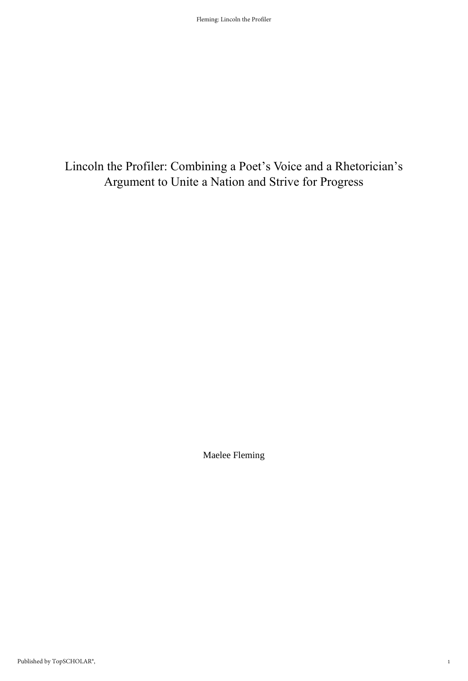## Lincoln the Profiler: Combining a Poet's Voice and a Rhetorician's Argument to Unite a Nation and Strive for Progress

Maelee Fleming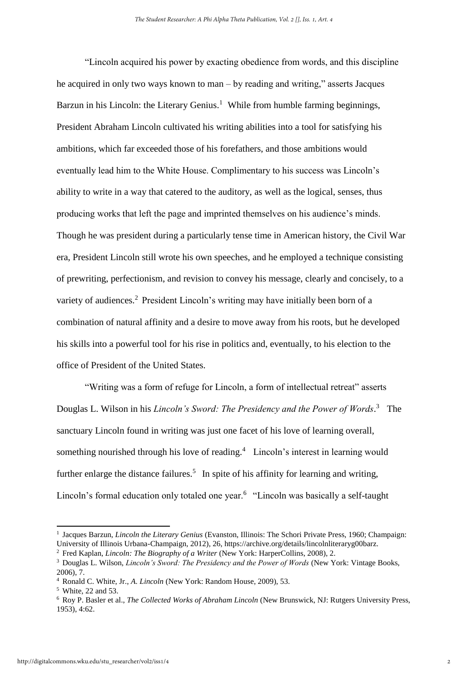"Lincoln acquired his power by exacting obedience from words, and this discipline he acquired in only two ways known to man – by reading and writing," asserts Jacques Barzun in his Lincoln: the Literary Genius.<sup>1</sup> While from humble farming beginnings, President Abraham Lincoln cultivated his writing abilities into a tool for satisfying his ambitions, which far exceeded those of his forefathers, and those ambitions would eventually lead him to the White House. Complimentary to his success was Lincoln's ability to write in a way that catered to the auditory, as well as the logical, senses, thus producing works that left the page and imprinted themselves on his audience's minds. Though he was president during a particularly tense time in American history, the Civil War era, President Lincoln still wrote his own speeches, and he employed a technique consisting of prewriting, perfectionism, and revision to convey his message, clearly and concisely, to a variety of audiences.<sup>2</sup> President Lincoln's writing may have initially been born of a combination of natural affinity and a desire to move away from his roots, but he developed his skills into a powerful tool for his rise in politics and, eventually, to his election to the office of President of the United States.

"Writing was a form of refuge for Lincoln, a form of intellectual retreat" asserts Douglas L. Wilson in his *Lincoln's Sword: The Presidency and the Power of Words*. 3 The sanctuary Lincoln found in writing was just one facet of his love of learning overall, something nourished through his love of reading.<sup>4</sup> Lincoln's interest in learning would further enlarge the distance failures.<sup>5</sup> In spite of his affinity for learning and writing, Lincoln's formal education only totaled one year.<sup>6</sup> "Lincoln was basically a self-taught

<sup>&</sup>lt;sup>1</sup> Jacques Barzun, *Lincoln the Literary Genius* (Evanston, Illinois: The Schori Private Press, 1960; Champaign: University of Illinois Urbana-Champaign, 2012), 26, https://archive.org/details/lincolnliteraryg00barz.

<sup>2</sup> Fred Kaplan, *Lincoln: The Biography of a Writer* (New York: HarperCollins, 2008), 2.

<sup>3</sup> Douglas L. Wilson, *Lincoln's Sword: The Presidency and the Power of Words* (New York: Vintage Books, 2006), 7.

<sup>4</sup> Ronald C. White, Jr., *A. Lincoln* (New York: Random House, 2009), 53.

<sup>5</sup> White, 22 and 53.

<sup>6</sup> Roy P. Basler et al., *The Collected Works of Abraham Lincoln* (New Brunswick, NJ: Rutgers University Press, 1953), 4:62.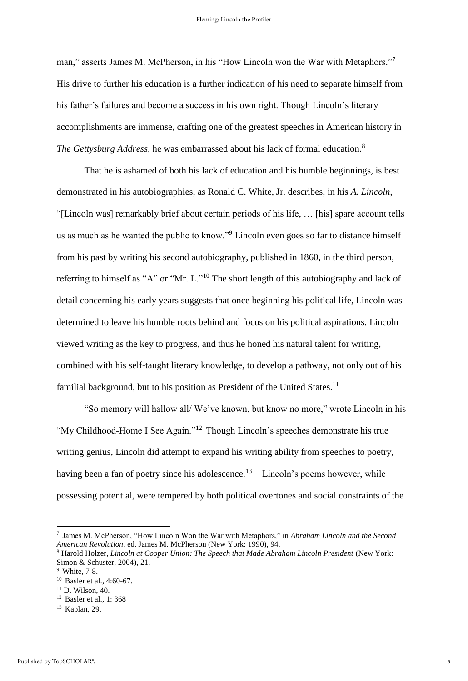man," asserts James M. McPherson, in his "How Lincoln won the War with Metaphors."<sup>7</sup> His drive to further his education is a further indication of his need to separate himself from his father's failures and become a success in his own right. Though Lincoln's literary accomplishments are immense, crafting one of the greatest speeches in American history in *The Gettysburg Address*, he was embarrassed about his lack of formal education.<sup>8</sup>

That he is ashamed of both his lack of education and his humble beginnings, is best demonstrated in his autobiographies, as Ronald C. White, Jr. describes, in his *A. Lincoln*, "[Lincoln was] remarkably brief about certain periods of his life, … [his] spare account tells us as much as he wanted the public to know."<sup>9</sup> Lincoln even goes so far to distance himself from his past by writing his second autobiography, published in 1860, in the third person, referring to himself as "A" or "Mr. L."<sup>10</sup> The short length of this autobiography and lack of detail concerning his early years suggests that once beginning his political life, Lincoln was determined to leave his humble roots behind and focus on his political aspirations. Lincoln viewed writing as the key to progress, and thus he honed his natural talent for writing, combined with his self-taught literary knowledge, to develop a pathway, not only out of his familial background, but to his position as President of the United States.<sup>11</sup>

"So memory will hallow all/ We've known, but know no more," wrote Lincoln in his "My Childhood-Home I See Again."<sup>12</sup> Though Lincoln's speeches demonstrate his true writing genius, Lincoln did attempt to expand his writing ability from speeches to poetry, having been a fan of poetry since his adolescence.<sup>13</sup> Lincoln's poems however, while possessing potential, were tempered by both political overtones and social constraints of the

<sup>7</sup> James M. McPherson, "How Lincoln Won the War with Metaphors," in *Abraham Lincoln and the Second American Revolution*, ed. James M. McPherson (New York: 1990), 94.

<sup>&</sup>lt;sup>8</sup> Harold Holzer, *Lincoln at Cooper Union: The Speech that Made Abraham Lincoln President* (New York: Simon & Schuster, 2004), 21.

<sup>9</sup> White, 7-8.

<sup>10</sup> Basler et al., 4:60-67.

<sup>11</sup> D. Wilson, 40.

<sup>12</sup> Basler et al., 1: 368

<sup>13</sup> Kaplan, 29.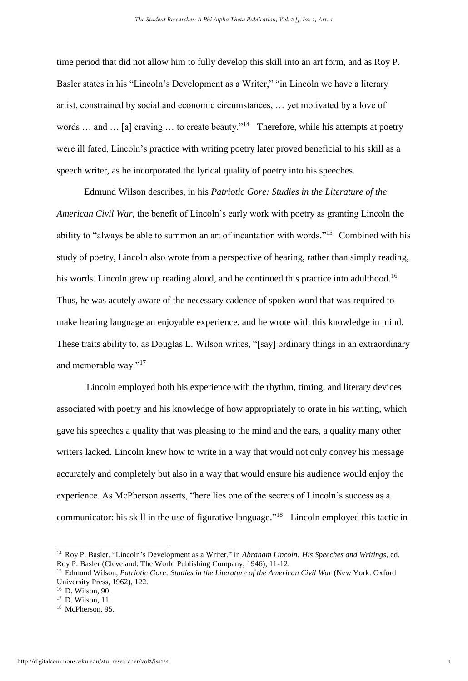time period that did not allow him to fully develop this skill into an art form, and as Roy P. Basler states in his "Lincoln's Development as a Writer," "in Lincoln we have a literary artist, constrained by social and economic circumstances, … yet motivated by a love of words ... and ... [a] craving ... to create beauty."<sup>14</sup> Therefore, while his attempts at poetry were ill fated, Lincoln's practice with writing poetry later proved beneficial to his skill as a speech writer, as he incorporated the lyrical quality of poetry into his speeches.

Edmund Wilson describes, in his *Patriotic Gore: Studies in the Literature of the American Civil War*, the benefit of Lincoln's early work with poetry as granting Lincoln the ability to "always be able to summon an art of incantation with words."<sup>15</sup> Combined with his study of poetry, Lincoln also wrote from a perspective of hearing, rather than simply reading, his words. Lincoln grew up reading aloud, and he continued this practice into adulthood.<sup>16</sup> Thus, he was acutely aware of the necessary cadence of spoken word that was required to make hearing language an enjoyable experience, and he wrote with this knowledge in mind. These traits ability to, as Douglas L. Wilson writes, "[say] ordinary things in an extraordinary and memorable way."<sup>17</sup>

Lincoln employed both his experience with the rhythm, timing, and literary devices associated with poetry and his knowledge of how appropriately to orate in his writing, which gave his speeches a quality that was pleasing to the mind and the ears, a quality many other writers lacked. Lincoln knew how to write in a way that would not only convey his message accurately and completely but also in a way that would ensure his audience would enjoy the experience. As McPherson asserts, "here lies one of the secrets of Lincoln's success as a communicator: his skill in the use of figurative language."<sup>18</sup> Lincoln employed this tactic in

<sup>14</sup> Roy P. Basler, "Lincoln's Development as a Writer," in *Abraham Lincoln: His Speeches and Writings*, ed. Roy P. Basler (Cleveland: The World Publishing Company, 1946), 11-12.

<sup>15</sup> Edmund Wilson, *Patriotic Gore: Studies in the Literature of the American Civil War* (New York: Oxford University Press, 1962), 122.

<sup>16</sup> D. Wilson, 90.

<sup>17</sup> D. Wilson, 11.

<sup>&</sup>lt;sup>18</sup> McPherson, 95.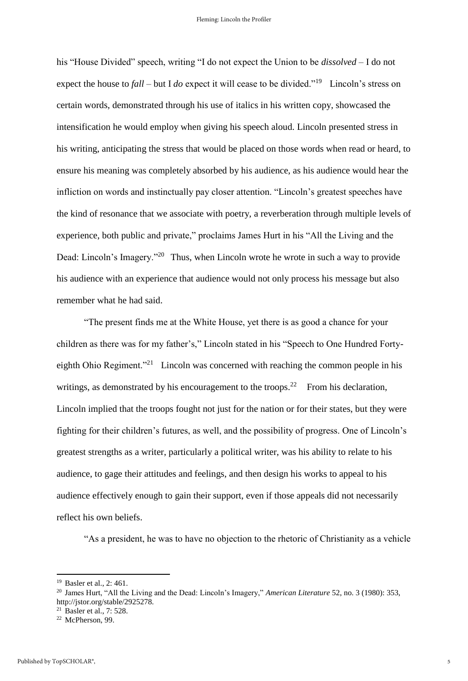his "House Divided" speech, writing "I do not expect the Union to be *dissolved* – I do not expect the house to *fall* – but I *do* expect it will cease to be divided."<sup>19</sup> Lincoln's stress on certain words, demonstrated through his use of italics in his written copy, showcased the intensification he would employ when giving his speech aloud. Lincoln presented stress in his writing, anticipating the stress that would be placed on those words when read or heard, to ensure his meaning was completely absorbed by his audience, as his audience would hear the infliction on words and instinctually pay closer attention. "Lincoln's greatest speeches have the kind of resonance that we associate with poetry, a reverberation through multiple levels of experience, both public and private," proclaims James Hurt in his "All the Living and the Dead: Lincoln's Imagery."<sup>20</sup> Thus, when Lincoln wrote he wrote in such a way to provide his audience with an experience that audience would not only process his message but also remember what he had said.

"The present finds me at the White House, yet there is as good a chance for your children as there was for my father's," Lincoln stated in his "Speech to One Hundred Fortyeighth Ohio Regiment."<sup>21</sup> Lincoln was concerned with reaching the common people in his writings, as demonstrated by his encouragement to the troops.<sup>22</sup> From his declaration, Lincoln implied that the troops fought not just for the nation or for their states, but they were fighting for their children's futures, as well, and the possibility of progress. One of Lincoln's greatest strengths as a writer, particularly a political writer, was his ability to relate to his audience, to gage their attitudes and feelings, and then design his works to appeal to his audience effectively enough to gain their support, even if those appeals did not necessarily reflect his own beliefs.

"As a president, he was to have no objection to the rhetoric of Christianity as a vehicle

<sup>19</sup> Basler et al., 2: 461.

<sup>20</sup> James Hurt, "All the Living and the Dead: Lincoln's Imagery," *American Literature* 52, no. 3 (1980): 353, http://jstor.org/stable/2925278.

<sup>21</sup> Basler et al., 7: 528.

<sup>22</sup> McPherson, 99.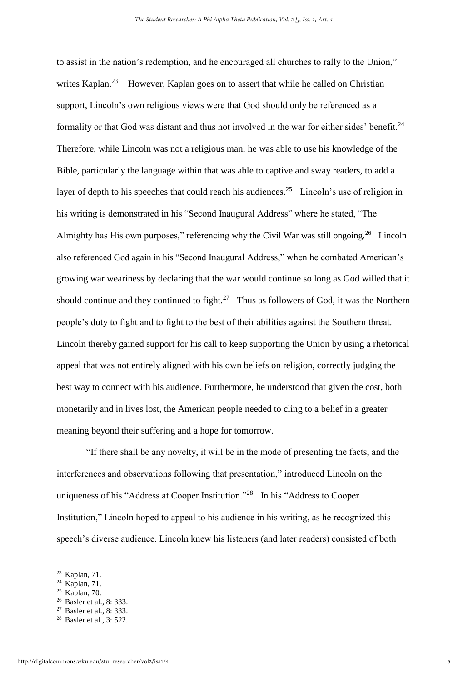to assist in the nation's redemption, and he encouraged all churches to rally to the Union," writes Kaplan.<sup>23</sup> However, Kaplan goes on to assert that while he called on Christian support, Lincoln's own religious views were that God should only be referenced as a formality or that God was distant and thus not involved in the war for either sides' benefit.<sup>24</sup> Therefore, while Lincoln was not a religious man, he was able to use his knowledge of the Bible, particularly the language within that was able to captive and sway readers, to add a layer of depth to his speeches that could reach his audiences.<sup>25</sup> Lincoln's use of religion in his writing is demonstrated in his "Second Inaugural Address" where he stated, "The Almighty has His own purposes," referencing why the Civil War was still ongoing.<sup>26</sup> Lincoln also referenced God again in his "Second Inaugural Address," when he combated American's growing war weariness by declaring that the war would continue so long as God willed that it should continue and they continued to fight.<sup>27</sup> Thus as followers of God, it was the Northern people's duty to fight and to fight to the best of their abilities against the Southern threat. Lincoln thereby gained support for his call to keep supporting the Union by using a rhetorical appeal that was not entirely aligned with his own beliefs on religion, correctly judging the best way to connect with his audience. Furthermore, he understood that given the cost, both monetarily and in lives lost, the American people needed to cling to a belief in a greater meaning beyond their suffering and a hope for tomorrow.

"If there shall be any novelty, it will be in the mode of presenting the facts, and the interferences and observations following that presentation," introduced Lincoln on the uniqueness of his "Address at Cooper Institution."<sup>28</sup> In his "Address to Cooper Institution," Lincoln hoped to appeal to his audience in his writing, as he recognized this speech's diverse audience. Lincoln knew his listeners (and later readers) consisted of both

<sup>23</sup> Kaplan, 71.

<sup>24</sup> Kaplan, 71.

 $25$  Kaplan, 70.

<sup>&</sup>lt;sup>26</sup> Basler et al., 8: 333.

<sup>27</sup> Basler et al., 8: 333.

<sup>&</sup>lt;sup>28</sup> Basler et al., 3: 522.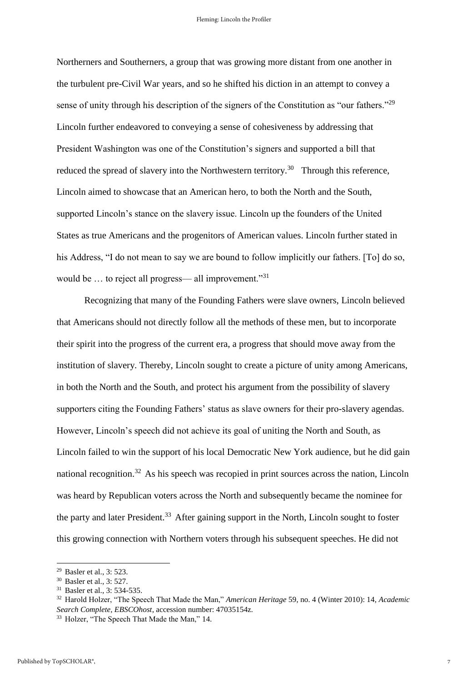Northerners and Southerners, a group that was growing more distant from one another in the turbulent pre-Civil War years, and so he shifted his diction in an attempt to convey a sense of unity through his description of the signers of the Constitution as "our fathers."<sup>29</sup> Lincoln further endeavored to conveying a sense of cohesiveness by addressing that President Washington was one of the Constitution's signers and supported a bill that reduced the spread of slavery into the Northwestern territory.<sup>30</sup> Through this reference, Lincoln aimed to showcase that an American hero, to both the North and the South, supported Lincoln's stance on the slavery issue. Lincoln up the founders of the United States as true Americans and the progenitors of American values. Lincoln further stated in his Address, "I do not mean to say we are bound to follow implicitly our fathers. [To] do so, would be ... to reject all progress— all improvement."<sup>31</sup>

Recognizing that many of the Founding Fathers were slave owners, Lincoln believed that Americans should not directly follow all the methods of these men, but to incorporate their spirit into the progress of the current era, a progress that should move away from the institution of slavery. Thereby, Lincoln sought to create a picture of unity among Americans, in both the North and the South, and protect his argument from the possibility of slavery supporters citing the Founding Fathers' status as slave owners for their pro-slavery agendas. However, Lincoln's speech did not achieve its goal of uniting the North and South, as Lincoln failed to win the support of his local Democratic New York audience, but he did gain national recognition.<sup>32</sup> As his speech was recopied in print sources across the nation, Lincoln was heard by Republican voters across the North and subsequently became the nominee for the party and later President.<sup>33</sup> After gaining support in the North, Lincoln sought to foster this growing connection with Northern voters through his subsequent speeches. He did not

<sup>32</sup> Harold Holzer, "The Speech That Made the Man," *American Heritage* 59, no. 4 (Winter 2010): 14, *Academic Search Complete, EBSCOhost*, accession number: 47035154z.

<sup>29</sup> Basler et al., 3: 523.

<sup>30</sup> Basler et al., 3: 527.

<sup>31</sup> Basler et al., 3: 534-535.

<sup>33</sup> Holzer, "The Speech That Made the Man," 14.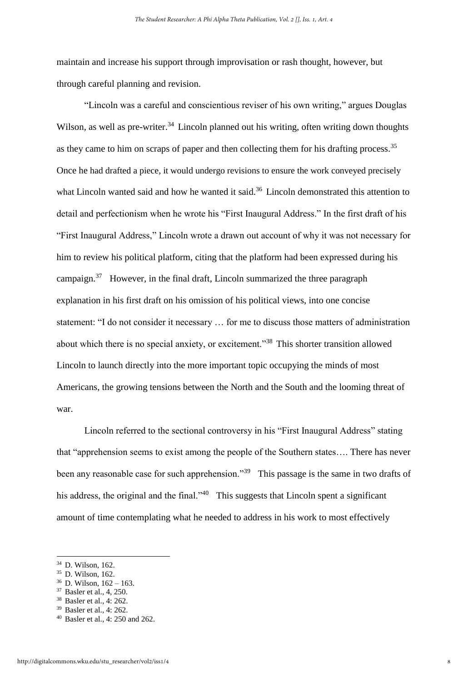maintain and increase his support through improvisation or rash thought, however, but through careful planning and revision.

"Lincoln was a careful and conscientious reviser of his own writing," argues Douglas Wilson, as well as pre-writer.<sup>34</sup> Lincoln planned out his writing, often writing down thoughts as they came to him on scraps of paper and then collecting them for his drafting process.<sup>35</sup> Once he had drafted a piece, it would undergo revisions to ensure the work conveyed precisely what Lincoln wanted said and how he wanted it said.<sup>36</sup> Lincoln demonstrated this attention to detail and perfectionism when he wrote his "First Inaugural Address." In the first draft of his "First Inaugural Address," Lincoln wrote a drawn out account of why it was not necessary for him to review his political platform, citing that the platform had been expressed during his campaign.<sup>37</sup> However, in the final draft, Lincoln summarized the three paragraph explanation in his first draft on his omission of his political views, into one concise statement: "I do not consider it necessary … for me to discuss those matters of administration about which there is no special anxiety, or excitement."<sup>38</sup> This shorter transition allowed Lincoln to launch directly into the more important topic occupying the minds of most Americans, the growing tensions between the North and the South and the looming threat of war.

Lincoln referred to the sectional controversy in his "First Inaugural Address" stating that "apprehension seems to exist among the people of the Southern states…. There has never been any reasonable case for such apprehension."<sup>39</sup> This passage is the same in two drafts of his address, the original and the final."<sup>40</sup> This suggests that Lincoln spent a significant amount of time contemplating what he needed to address in his work to most effectively

<sup>34</sup> D. Wilson, 162.

<sup>35</sup> D. Wilson, 162.

<sup>36</sup> D. Wilson, 162 – 163.

<sup>37</sup> Basler et al., 4, 250.

<sup>38</sup> Basler et al., 4: 262.

<sup>39</sup> Basler et al., 4: 262.

<sup>40</sup> Basler et al., 4: 250 and 262.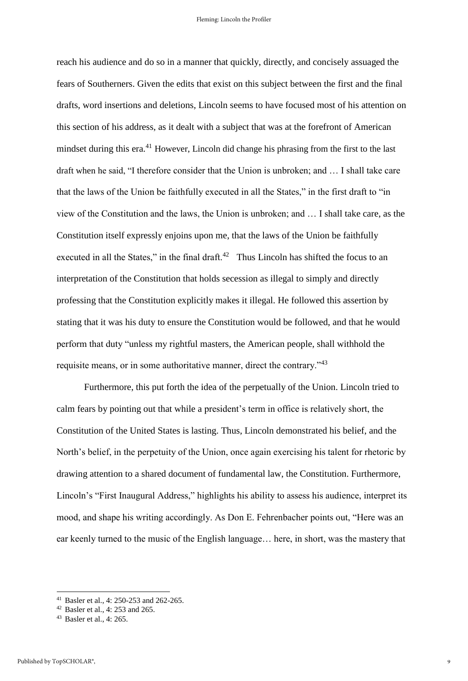reach his audience and do so in a manner that quickly, directly, and concisely assuaged the fears of Southerners. Given the edits that exist on this subject between the first and the final drafts, word insertions and deletions, Lincoln seems to have focused most of his attention on this section of his address, as it dealt with a subject that was at the forefront of American mindset during this era.<sup>41</sup> However, Lincoln did change his phrasing from the first to the last draft when he said, "I therefore consider that the Union is unbroken; and … I shall take care that the laws of the Union be faithfully executed in all the States," in the first draft to "in view of the Constitution and the laws, the Union is unbroken; and … I shall take care, as the Constitution itself expressly enjoins upon me, that the laws of the Union be faithfully executed in all the States," in the final draft.<sup>42</sup> Thus Lincoln has shifted the focus to an interpretation of the Constitution that holds secession as illegal to simply and directly professing that the Constitution explicitly makes it illegal. He followed this assertion by stating that it was his duty to ensure the Constitution would be followed, and that he would perform that duty "unless my rightful masters, the American people, shall withhold the requisite means, or in some authoritative manner, direct the contrary."<sup>43</sup>

Furthermore, this put forth the idea of the perpetually of the Union. Lincoln tried to calm fears by pointing out that while a president's term in office is relatively short, the Constitution of the United States is lasting. Thus, Lincoln demonstrated his belief, and the North's belief, in the perpetuity of the Union, once again exercising his talent for rhetoric by drawing attention to a shared document of fundamental law, the Constitution. Furthermore, Lincoln's "First Inaugural Address," highlights his ability to assess his audience, interpret its mood, and shape his writing accordingly. As Don E. Fehrenbacher points out, "Here was an ear keenly turned to the music of the English language… here, in short, was the mastery that

<sup>41</sup> Basler et al., 4: 250-253 and 262-265.

<sup>42</sup> Basler et al., 4: 253 and 265.

<sup>43</sup> Basler et al., 4: 265.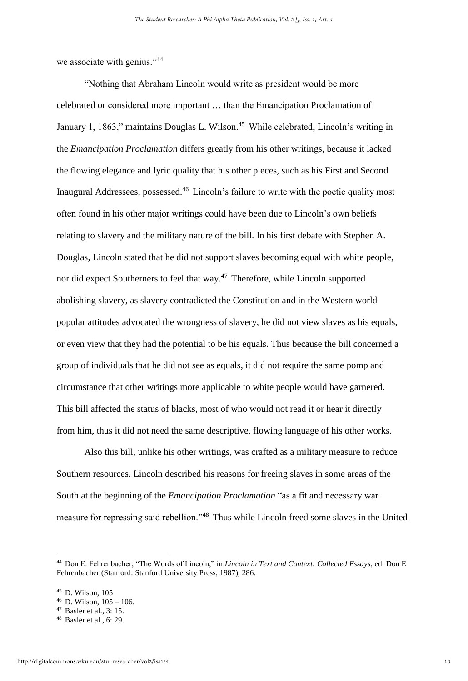we associate with genius."<sup>44</sup>

"Nothing that Abraham Lincoln would write as president would be more celebrated or considered more important … than the Emancipation Proclamation of January 1, 1863," maintains Douglas L. Wilson.<sup>45</sup> While celebrated, Lincoln's writing in the *Emancipation Proclamation* differs greatly from his other writings, because it lacked the flowing elegance and lyric quality that his other pieces, such as his First and Second Inaugural Addressees, possessed.<sup>46</sup> Lincoln's failure to write with the poetic quality most often found in his other major writings could have been due to Lincoln's own beliefs relating to slavery and the military nature of the bill. In his first debate with Stephen A. Douglas, Lincoln stated that he did not support slaves becoming equal with white people, nor did expect Southerners to feel that way. $47$  Therefore, while Lincoln supported abolishing slavery, as slavery contradicted the Constitution and in the Western world popular attitudes advocated the wrongness of slavery, he did not view slaves as his equals, or even view that they had the potential to be his equals. Thus because the bill concerned a group of individuals that he did not see as equals, it did not require the same pomp and circumstance that other writings more applicable to white people would have garnered. This bill affected the status of blacks, most of who would not read it or hear it directly from him, thus it did not need the same descriptive, flowing language of his other works.

Also this bill, unlike his other writings, was crafted as a military measure to reduce Southern resources. Lincoln described his reasons for freeing slaves in some areas of the South at the beginning of the *Emancipation Proclamation* "as a fit and necessary war measure for repressing said rebellion."<sup>48</sup> Thus while Lincoln freed some slaves in the United

<sup>44</sup> Don E. Fehrenbacher, "The Words of Lincoln," in *Lincoln in Text and Context: Collected Essays*, ed. Don E Fehrenbacher (Stanford: Stanford University Press, 1987), 286.

 $45$  D. Wilson, 105

 $46$  D. Wilson,  $105 - 106$ .

<sup>47</sup> Basler et al., 3: 15.

<sup>48</sup> Basler et al., 6: 29.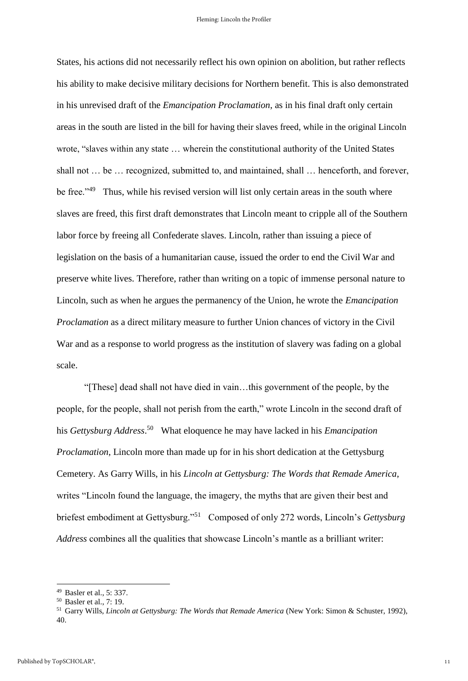States, his actions did not necessarily reflect his own opinion on abolition, but rather reflects his ability to make decisive military decisions for Northern benefit. This is also demonstrated in his unrevised draft of the *Emancipation Proclamation*, as in his final draft only certain areas in the south are listed in the bill for having their slaves freed, while in the original Lincoln wrote, "slaves within any state … wherein the constitutional authority of the United States shall not … be … recognized, submitted to, and maintained, shall … henceforth, and forever, be free.<sup>249</sup> Thus, while his revised version will list only certain areas in the south where slaves are freed, this first draft demonstrates that Lincoln meant to cripple all of the Southern labor force by freeing all Confederate slaves. Lincoln, rather than issuing a piece of legislation on the basis of a humanitarian cause, issued the order to end the Civil War and preserve white lives. Therefore, rather than writing on a topic of immense personal nature to Lincoln, such as when he argues the permanency of the Union, he wrote the *Emancipation Proclamation* as a direct military measure to further Union chances of victory in the Civil War and as a response to world progress as the institution of slavery was fading on a global scale.

"[These] dead shall not have died in vain…this government of the people, by the people, for the people, shall not perish from the earth," wrote Lincoln in the second draft of his *Gettysburg Address*. 50 What eloquence he may have lacked in his *Emancipation Proclamation*, Lincoln more than made up for in his short dedication at the Gettysburg Cemetery. As Garry Wills, in his *Lincoln at Gettysburg: The Words that Remade America*, writes "Lincoln found the language, the imagery, the myths that are given their best and briefest embodiment at Gettysburg."<sup>51</sup> Composed of only 272 words, Lincoln's *Gettysburg Address* combines all the qualities that showcase Lincoln's mantle as a brilliant writer:

<sup>49</sup> Basler et al., 5: 337.

<sup>50</sup> Basler et al., 7: 19.

<sup>51</sup> Garry Wills, *Lincoln at Gettysburg: The Words that Remade America* (New York: Simon & Schuster, 1992), 40.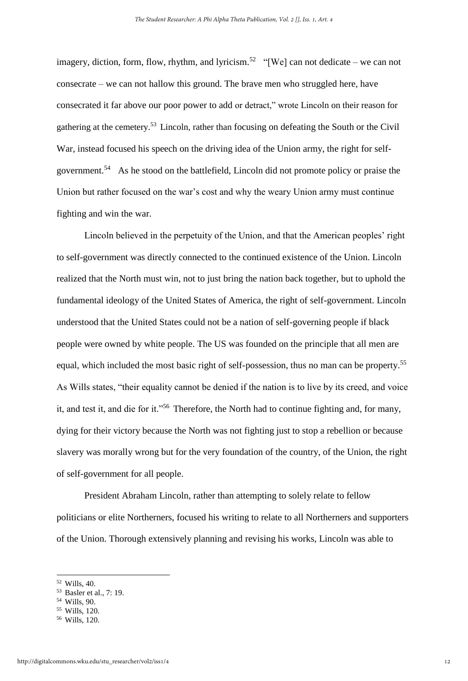imagery, diction, form, flow, rhythm, and lyricism.<sup>52</sup> "[We] can not dedicate – we can not consecrate – we can not hallow this ground. The brave men who struggled here, have consecrated it far above our poor power to add or detract," wrote Lincoln on their reason for gathering at the cemetery.<sup>53</sup> Lincoln, rather than focusing on defeating the South or the Civil War, instead focused his speech on the driving idea of the Union army, the right for selfgovernment.<sup>54</sup> As he stood on the battlefield, Lincoln did not promote policy or praise the Union but rather focused on the war's cost and why the weary Union army must continue fighting and win the war.

Lincoln believed in the perpetuity of the Union, and that the American peoples' right to self-government was directly connected to the continued existence of the Union. Lincoln realized that the North must win, not to just bring the nation back together, but to uphold the fundamental ideology of the United States of America, the right of self-government. Lincoln understood that the United States could not be a nation of self-governing people if black people were owned by white people. The US was founded on the principle that all men are equal, which included the most basic right of self-possession, thus no man can be property.<sup>55</sup> As Wills states, "their equality cannot be denied if the nation is to live by its creed, and voice it, and test it, and die for it."<sup>56</sup> Therefore, the North had to continue fighting and, for many, dying for their victory because the North was not fighting just to stop a rebellion or because slavery was morally wrong but for the very foundation of the country, of the Union, the right of self-government for all people.

President Abraham Lincoln, rather than attempting to solely relate to fellow politicians or elite Northerners, focused his writing to relate to all Northerners and supporters of the Union. Thorough extensively planning and revising his works, Lincoln was able to

 $\overline{a}$ 

<sup>54</sup> Wills, 90.

<sup>52</sup> Wills, 40.

<sup>53</sup> Basler et al., 7: 19.

<sup>55</sup> Wills, 120.

<sup>56</sup> Wills, 120.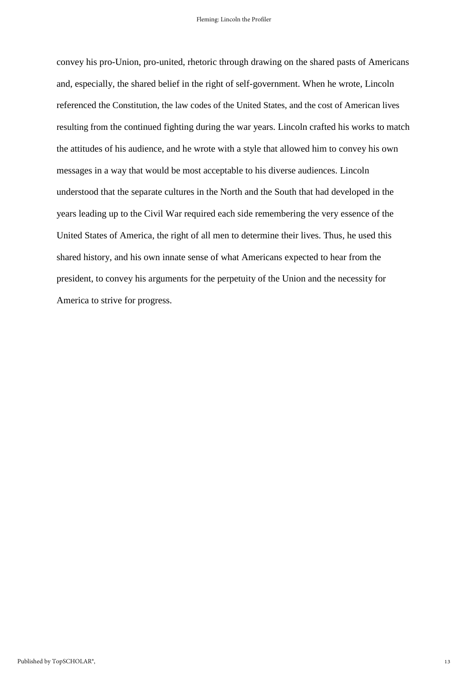convey his pro-Union, pro-united, rhetoric through drawing on the shared pasts of Americans and, especially, the shared belief in the right of self-government. When he wrote, Lincoln referenced the Constitution, the law codes of the United States, and the cost of American lives resulting from the continued fighting during the war years. Lincoln crafted his works to match the attitudes of his audience, and he wrote with a style that allowed him to convey his own messages in a way that would be most acceptable to his diverse audiences. Lincoln understood that the separate cultures in the North and the South that had developed in the years leading up to the Civil War required each side remembering the very essence of the United States of America, the right of all men to determine their lives. Thus, he used this shared history, and his own innate sense of what Americans expected to hear from the president, to convey his arguments for the perpetuity of the Union and the necessity for America to strive for progress.